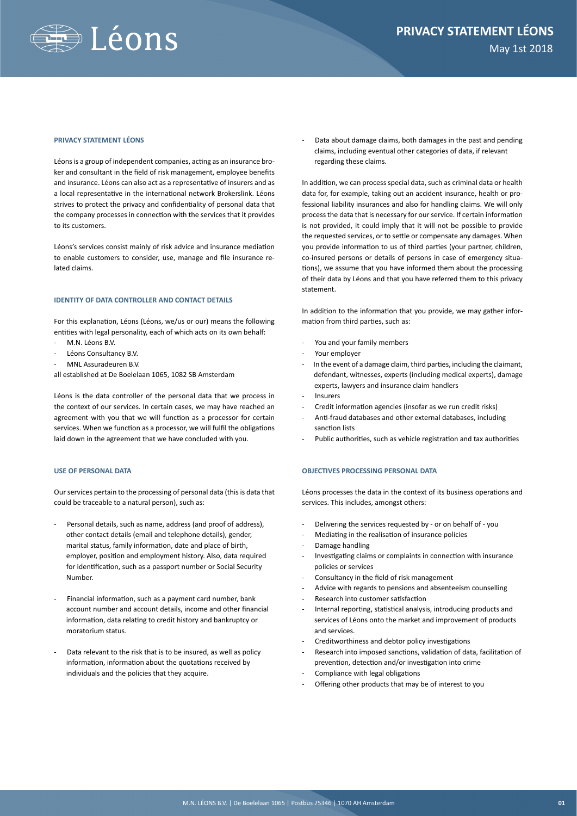

#### **PRIVACY STATEMENT LÉONS**

Léons is a group of independent companies, acting as an insurance broker and consultant in the field of risk management, employee benefits and insurance. Léons can also act as a representative of insurers and as a local representative in the international network Brokerslink. Léons strives to protect the privacy and confidentiality of personal data that the company processes in connection with the services that it provides to its customers.

Léons's services consist mainly of risk advice and insurance mediation to enable customers to consider, use, manage and file insurance related claims.

#### **IDENTITY OF DATA CONTROLLER AND CONTACT DETAILS**

For this explanation, Léons (Léons, we/us or our) means the following entities with legal personality, each of which acts on its own behalf:

- M.N. Léons B.V.
- Léons Consultancy B.V.
- MNL Assuradeuren B.V.

all established at De Boelelaan 1065, 1082 SB Amsterdam

Léons is the data controller of the personal data that we process in the context of our services. In certain cases, we may have reached an agreement with you that we will function as a processor for certain services. When we function as a processor, we will fulfil the obligations laid down in the agreement that we have concluded with you.

# **USE OF PERSONAL DATA**

Our services pertain to the processing of personal data (this is data that could be traceable to a natural person), such as:

- Personal details, such as name, address (and proof of address), other contact details (email and telephone details), gender, marital status, family information, date and place of birth, employer, position and employment history. Also, data required for identification, such as a passport number or Social Security Number.
- Financial information, such as a payment card number, bank account number and account details, income and other financial information, data relating to credit history and bankruptcy or moratorium status.
- Data relevant to the risk that is to be insured, as well as policy information, information about the quotations received by individuals and the policies that they acquire.

Data about damage claims, both damages in the past and pending claims, including eventual other categories of data, if relevant regarding these claims.

In addition, we can process special data, such as criminal data or health data for, for example, taking out an accident insurance, health or professional liability insurances and also for handling claims. We will only process the data that is necessary for our service. If certain information is not provided, it could imply that it will not be possible to provide the requested services, or to settle or compensate any damages. When you provide information to us of third parties (your partner, children, co-insured persons or details of persons in case of emergency situations), we assume that you have informed them about the processing of their data by Léons and that you have referred them to this privacy statement.

In addition to the information that you provide, we may gather information from third parties, such as:

- You and your family members
- Your employer
- In the event of a damage claim, third parties, including the claimant, defendant, witnesses, experts (including medical experts), damage experts, lawyers and insurance claim handlers
- **Insurers**
- Credit information agencies (insofar as we run credit risks)
- Anti-fraud databases and other external databases, including sanction lists
- Public authorities, such as vehicle registration and tax authorities

## **OBJECTIVES PROCESSING PERSONAL DATA**

Léons processes the data in the context of its business operations and services. This includes, amongst others:

- Delivering the services requested by or on behalf of you
- Mediating in the realisation of insurance policies
- Damage handling
- Investigating claims or complaints in connection with insurance policies or services
- Consultancy in the field of risk management
- Advice with regards to pensions and absenteeism counselling
- Research into customer satisfaction
- Internal reporting, statistical analysis, introducing products and services of Léons onto the market and improvement of products and services.
- Creditworthiness and debtor policy investigations
- Research into imposed sanctions, validation of data, facilitation of prevention, detection and/or investigation into crime
- Compliance with legal obligations
- Offering other products that may be of interest to you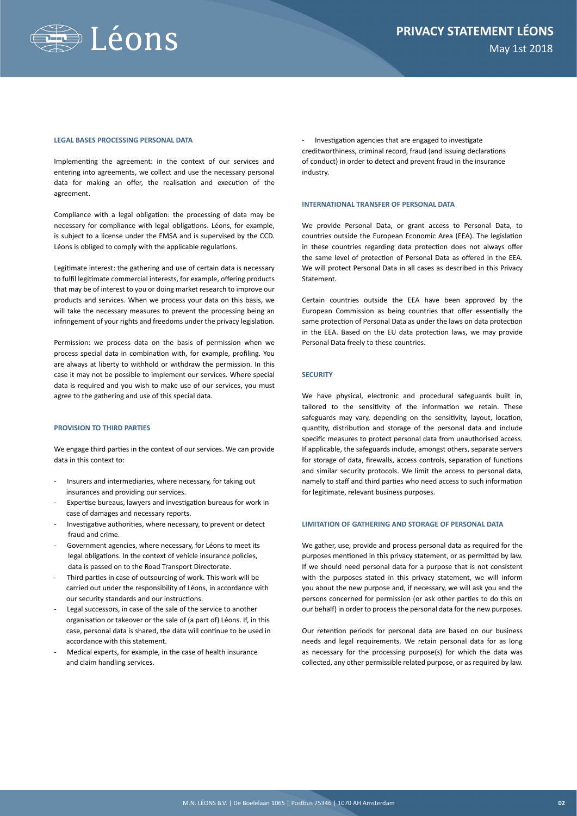

#### **LEGAL BASES PROCESSING PERSONAL DATA**

Implementing the agreement: in the context of our services and entering into agreements, we collect and use the necessary personal data for making an offer, the realisation and execution of the agreement.

Compliance with a legal obligation: the processing of data may be necessary for compliance with legal obligations. Léons, for example, is subject to a license under the FMSA and is supervised by the CCD. Léons is obliged to comply with the applicable regulations.

Legitimate interest: the gathering and use of certain data is necessary to fulfil legitimate commercial interests, for example, offering products that may be of interest to you or doing market research to improve our products and services. When we process your data on this basis, we will take the necessary measures to prevent the processing being an infringement of your rights and freedoms under the privacy legislation.

Permission: we process data on the basis of permission when we process special data in combination with, for example, profiling. You are always at liberty to withhold or withdraw the permission. In this case it may not be possible to implement our services. Where special data is required and you wish to make use of our services, you must agree to the gathering and use of this special data.

## **PROVISION TO THIRD PARTIES**

We engage third parties in the context of our services. We can provide data in this context to:

- Insurers and intermediaries, where necessary, for taking out insurances and providing our services.
- Expertise bureaus, lawyers and investigation bureaus for work in case of damages and necessary reports.
- Investigative authorities, where necessary, to prevent or detect fraud and crime.
- Government agencies, where necessary, for Léons to meet its legal obligations. In the context of vehicle insurance policies, data is passed on to the Road Transport Directorate.
- Third parties in case of outsourcing of work. This work will be carried out under the responsibility of Léons, in accordance with our security standards and our instructions.
- Legal successors, in case of the sale of the service to another organisation or takeover or the sale of (a part of) Léons. If, in this case, personal data is shared, the data will continue to be used in accordance with this statement.
- Medical experts, for example, in the case of health insurance and claim handling services.

Investigation agencies that are engaged to investigate creditworthiness, criminal record, fraud (and issuing declarations of conduct) in order to detect and prevent fraud in the insurance industry.

### **INTERNATIONAL TRANSFER OF PERSONAL DATA**

We provide Personal Data, or grant access to Personal Data, to countries outside the European Economic Area (EEA). The legislation in these countries regarding data protection does not always offer the same level of protection of Personal Data as offered in the EEA. We will protect Personal Data in all cases as described in this Privacy Statement.

Certain countries outside the EEA have been approved by the European Commission as being countries that offer essentially the same protection of Personal Data as under the laws on data protection in the EEA. Based on the EU data protection laws, we may provide Personal Data freely to these countries.

#### **SECURITY**

We have physical, electronic and procedural safeguards built in, tailored to the sensitivity of the information we retain. These safeguards may vary, depending on the sensitivity, layout, location, quantity, distribution and storage of the personal data and include specific measures to protect personal data from unauthorised access. If applicable, the safeguards include, amongst others, separate servers for storage of data, firewalls, access controls, separation of functions and similar security protocols. We limit the access to personal data, namely to staff and third parties who need access to such information for legitimate, relevant business purposes.

## **LIMITATION OF GATHERING AND STORAGE OF PERSONAL DATA**

We gather, use, provide and process personal data as required for the purposes mentioned in this privacy statement, or as permitted by law. If we should need personal data for a purpose that is not consistent with the purposes stated in this privacy statement, we will inform you about the new purpose and, if necessary, we will ask you and the persons concerned for permission (or ask other parties to do this on our behalf) in order to process the personal data for the new purposes.

Our retention periods for personal data are based on our business needs and legal requirements. We retain personal data for as long as necessary for the processing purpose(s) for which the data was collected, any other permissible related purpose, or as required by law.